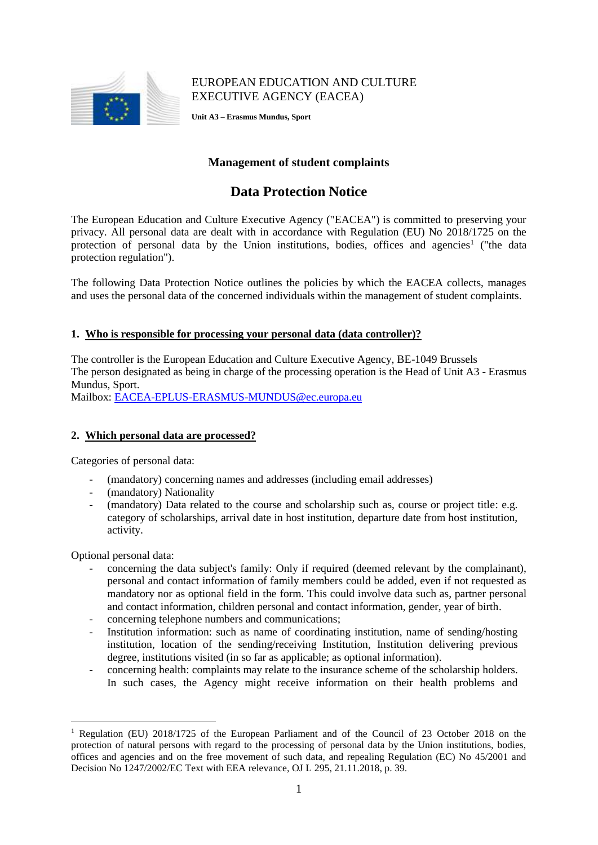

## EUROPEAN EDUCATION AND CULTURE EXECUTIVE AGENCY (EACEA)

**Unit A3 – Erasmus Mundus, Sport**

## **Management of student complaints**

# **Data Protection Notice**

The European Education and Culture Executive Agency ("EACEA") is committed to preserving your privacy. All personal data are dealt with in accordance with Regulation (EU) No 2018/1725 on the protection of personal data by the Union institutions, bodies, offices and agencies<sup>1</sup> ("the data protection regulation").

The following Data Protection Notice outlines the policies by which the EACEA collects, manages and uses the personal data of the concerned individuals within the management of student complaints.

## **1. Who is responsible for processing your personal data (data controller)?**

The controller is the European Education and Culture Executive Agency, BE-1049 Brussels The person designated as being in charge of the processing operation is the Head of Unit A3 - Erasmus Mundus, Sport.

Mailbox: [EACEA-EPLUS-ERASMUS-MUNDUS@ec.europa.eu](mailto:EACEA-EPLUS-ERASMUS-MUNDUS@ec.europa.eu)

#### **2. Which personal data are processed?**

Categories of personal data:

- (mandatory) concerning names and addresses (including email addresses)
- (mandatory) Nationality
- (mandatory) Data related to the course and scholarship such as, course or project title: e.g. category of scholarships, arrival date in host institution, departure date from host institution, activity.

Optional personal data:

<u>.</u>

- concerning the data subject's family: Only if required (deemed relevant by the complainant), personal and contact information of family members could be added, even if not requested as mandatory nor as optional field in the form. This could involve data such as, partner personal and contact information, children personal and contact information, gender, year of birth.
- concerning telephone numbers and communications;
- Institution information: such as name of coordinating institution, name of sending/hosting institution, location of the sending/receiving Institution, Institution delivering previous degree, institutions visited (in so far as applicable; as optional information).
- concerning health: complaints may relate to the insurance scheme of the scholarship holders. In such cases, the Agency might receive information on their health problems and

<sup>1</sup> Regulation (EU) 2018/1725 of the European Parliament and of the Council of 23 October 2018 on the protection of natural persons with regard to the processing of personal data by the Union institutions, bodies, offices and agencies and on the free movement of such data, and repealing Regulation (EC) No 45/2001 and Decision No 1247/2002/EC Text with EEA relevance, OJ L 295, 21.11.2018, p. 39*.*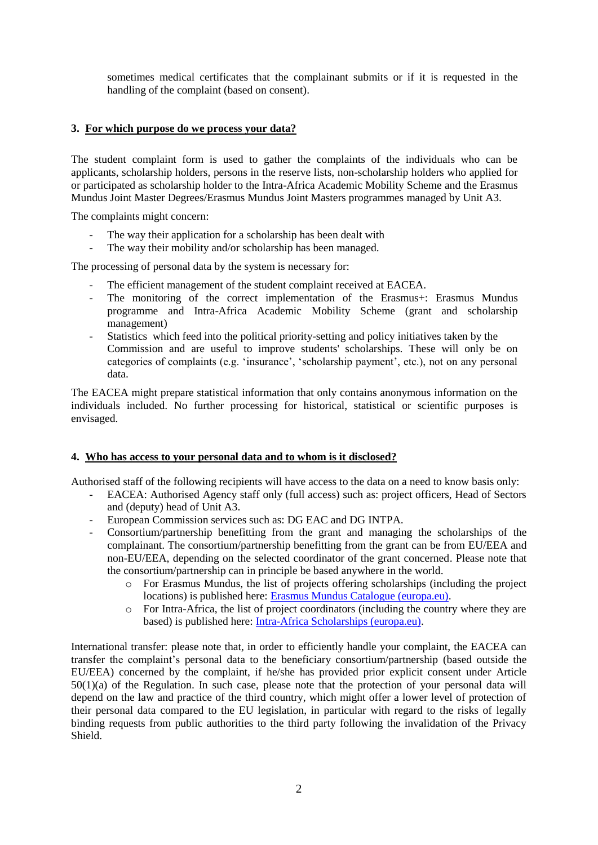sometimes medical certificates that the complainant submits or if it is requested in the handling of the complaint (based on consent).

## **3. For which purpose do we process your data?**

The student complaint form is used to gather the complaints of the individuals who can be applicants, scholarship holders, persons in the reserve lists, non-scholarship holders who applied for or participated as scholarship holder to the Intra-Africa Academic Mobility Scheme and the Erasmus Mundus Joint Master Degrees/Erasmus Mundus Joint Masters programmes managed by Unit A3.

The complaints might concern:

- The way their application for a scholarship has been dealt with
- The way their mobility and/or scholarship has been managed.

The processing of personal data by the system is necessary for:

- The efficient management of the student complaint received at EACEA.
- The monitoring of the correct implementation of the Erasmus+: Erasmus Mundus programme and Intra-Africa Academic Mobility Scheme (grant and scholarship management)
- Statistics which feed into the political priority-setting and policy initiatives taken by the Commission and are useful to improve students' scholarships. These will only be on categories of complaints (e.g. 'insurance', 'scholarship payment', etc.), not on any personal data.

The EACEA might prepare statistical information that only contains anonymous information on the individuals included. No further processing for historical, statistical or scientific purposes is envisaged.

#### **4. Who has access to your personal data and to whom is it disclosed?**

Authorised staff of the following recipients will have access to the data on a need to know basis only:

- EACEA: Authorised Agency staff only (full access) such as: project officers, Head of Sectors and (deputy) head of Unit A3.
- European Commission services such as: DG EAC and DG INTPA.
- Consortium/partnership benefitting from the grant and managing the scholarships of the complainant. The consortium/partnership benefitting from the grant can be from EU/EEA and non-EU/EEA, depending on the selected coordinator of the grant concerned. Please note that the consortium/partnership can in principle be based anywhere in the world.
	- $\circ$  For Erasmus Mundus, the list of projects offering scholarships (including the project locations) is published here: [Erasmus Mundus Catalogue \(europa.eu\).](https://www.eacea.ec.europa.eu/scholarships/erasmus-mundus-catalogue_en)
	- o For Intra-Africa, the list of project coordinators (including the country where they are based) is published here: [Intra-Africa Scholarships \(europa.eu\).](https://www.eacea.ec.europa.eu/scholarships/intra-africa-scholarships_en)

International transfer: please note that, in order to efficiently handle your complaint, the EACEA can transfer the complaint's personal data to the beneficiary consortium/partnership (based outside the EU/EEA) concerned by the complaint, if he/she has provided prior explicit consent under Article 50(1)(a) of the Regulation. In such case, please note that the protection of your personal data will depend on the law and practice of the third country, which might offer a lower level of protection of their personal data compared to the EU legislation, in particular with regard to the risks of legally binding requests from public authorities to the third party following the invalidation of the Privacy Shield.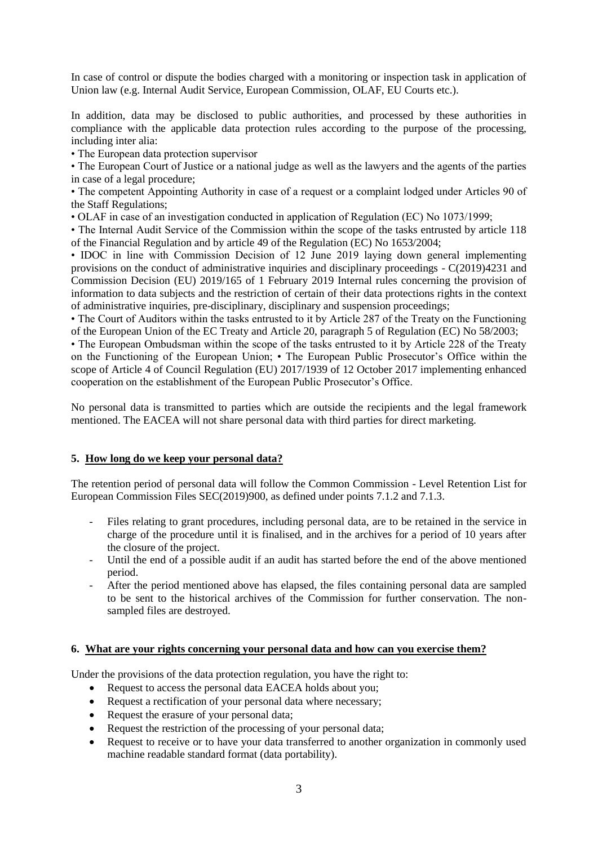In case of control or dispute the bodies charged with a monitoring or inspection task in application of Union law (e.g. Internal Audit Service, European Commission, OLAF, EU Courts etc.).

In addition, data may be disclosed to public authorities, and processed by these authorities in compliance with the applicable data protection rules according to the purpose of the processing. including inter alia:

• The European data protection supervisor

• The European Court of Justice or a national judge as well as the lawyers and the agents of the parties in case of a legal procedure;

• The competent Appointing Authority in case of a request or a complaint lodged under Articles 90 of the Staff Regulations;

• OLAF in case of an investigation conducted in application of Regulation (EC) No 1073/1999;

• The Internal Audit Service of the Commission within the scope of the tasks entrusted by article 118 of the Financial Regulation and by article 49 of the Regulation (EC) No 1653/2004;

• IDOC in line with Commission Decision of 12 June 2019 laying down general implementing provisions on the conduct of administrative inquiries and disciplinary proceedings - C(2019)4231 and Commission Decision (EU) 2019/165 of 1 February 2019 Internal rules concerning the provision of information to data subjects and the restriction of certain of their data protections rights in the context of administrative inquiries, pre-disciplinary, disciplinary and suspension proceedings;

• The Court of Auditors within the tasks entrusted to it by Article 287 of the Treaty on the Functioning of the European Union of the EC Treaty and Article 20, paragraph 5 of Regulation (EC) No 58/2003;

• The European Ombudsman within the scope of the tasks entrusted to it by Article 228 of the Treaty on the Functioning of the European Union; • The European Public Prosecutor's Office within the scope of Article 4 of Council Regulation (EU) 2017/1939 of 12 October 2017 implementing enhanced cooperation on the establishment of the European Public Prosecutor's Office.

No personal data is transmitted to parties which are outside the recipients and the legal framework mentioned. The EACEA will not share personal data with third parties for direct marketing.

## **5. How long do we keep your personal data?**

The retention period of personal data will follow the Common Commission - Level Retention List for European Commission Files SEC(2019)900, as defined under points 7.1.2 and 7.1.3.

- Files relating to grant procedures, including personal data, are to be retained in the service in charge of the procedure until it is finalised, and in the archives for a period of 10 years after the closure of the project.
- Until the end of a possible audit if an audit has started before the end of the above mentioned period.
- After the period mentioned above has elapsed, the files containing personal data are sampled to be sent to the historical archives of the Commission for further conservation. The nonsampled files are destroyed.

#### **6. What are your rights concerning your personal data and how can you exercise them?**

Under the provisions of the data protection regulation, you have the right to:

- Request to access the personal data EACEA holds about you;
- Request a rectification of your personal data where necessary;
- Request the erasure of your personal data;
- Request the restriction of the processing of your personal data;
- Request to receive or to have your data transferred to another organization in commonly used machine readable standard format (data portability).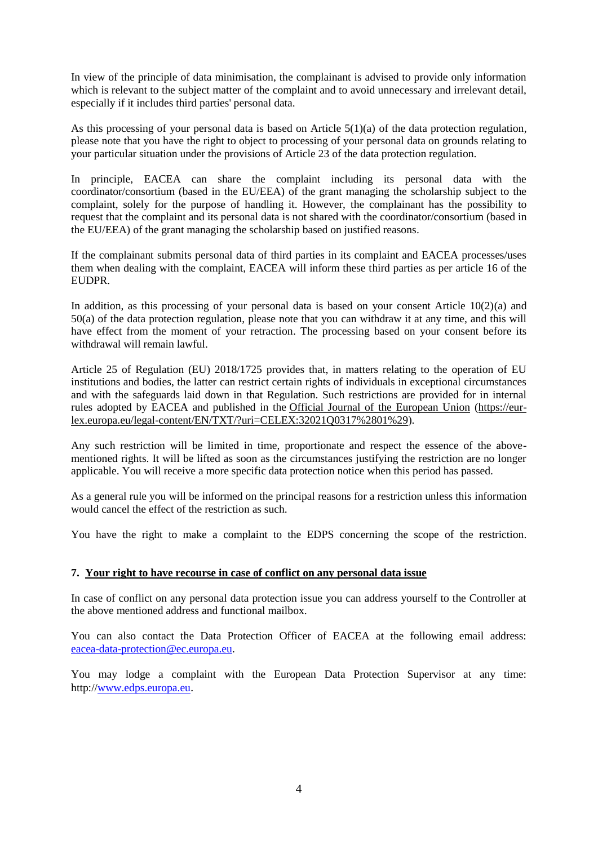In view of the principle of data minimisation, the complainant is advised to provide only information which is relevant to the subject matter of the complaint and to avoid unnecessary and irrelevant detail, especially if it includes third parties' personal data.

As this processing of your personal data is based on Article  $5(1)(a)$  of the data protection regulation, please note that you have the right to object to processing of your personal data on grounds relating to your particular situation under the provisions of Article 23 of the data protection regulation.

In principle, EACEA can share the complaint including its personal data with the coordinator/consortium (based in the EU/EEA) of the grant managing the scholarship subject to the complaint, solely for the purpose of handling it. However, the complainant has the possibility to request that the complaint and its personal data is not shared with the coordinator/consortium (based in the EU/EEA) of the grant managing the scholarship based on justified reasons.

If the complainant submits personal data of third parties in its complaint and EACEA processes/uses them when dealing with the complaint, EACEA will inform these third parties as per article 16 of the EUDPR.

In addition, as this processing of your personal data is based on your consent Article  $10(2)(a)$  and 50(a) of the data protection regulation, please note that you can withdraw it at any time, and this will have effect from the moment of your retraction. The processing based on your consent before its withdrawal will remain lawful.

Article 25 of Regulation (EU) 2018/1725 provides that, in matters relating to the operation of EU institutions and bodies, the latter can restrict certain rights of individuals in exceptional circumstances and with the safeguards laid down in that Regulation. Such restrictions are provided for in internal rules adopted by EACEA and published in the [Official Journal of the European Union](https://eur-lex.europa.eu/legal-content/EN/TXT/?uri=CELEX:32021Q0317%2801%29) [\(https://eur](https://eur-lex.europa.eu/legal-content/EN/TXT/?uri=CELEX:32021Q0317%2801%29)[lex.europa.eu/legal-content/EN/TXT/?uri=CELEX:32021Q0317%2801%29\)](https://eur-lex.europa.eu/legal-content/EN/TXT/?uri=CELEX:32021Q0317%2801%29).

Any such restriction will be limited in time, proportionate and respect the essence of the abovementioned rights. It will be lifted as soon as the circumstances justifying the restriction are no longer applicable. You will receive a more specific data protection notice when this period has passed.

As a general rule you will be informed on the principal reasons for a restriction unless this information would cancel the effect of the restriction as such.

You have the right to make a complaint to the EDPS concerning the scope of the restriction.

#### **7. Your right to have recourse in case of conflict on any personal data issue**

In case of conflict on any personal data protection issue you can address yourself to the Controller at the above mentioned address and functional mailbox.

You can also contact the Data Protection Officer of EACEA at the following email address: [eacea-data-protection@ec.europa.eu.](mailto:eacea-data-protection@ec.europa.eu)

You may lodge a complaint with the European Data Protection Supervisor at any time: http:/[/www.edps.europa.eu](http://www.edps.europa.eu/).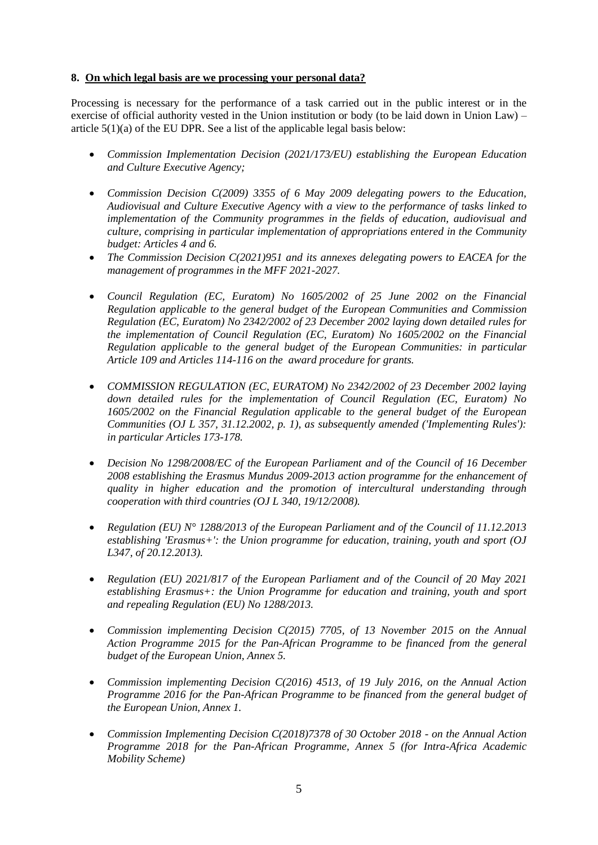### **8. On which legal basis are we processing your personal data?**

Processing is necessary for the performance of a task carried out in the public interest or in the exercise of official authority vested in the Union institution or body (to be laid down in Union Law) – article 5(1)(a) of the EU DPR. See a list of the applicable legal basis below:

- *Commission Implementation Decision (2021/173/EU) establishing the European Education and Culture Executive Agency;*
- *Commission Decision C(2009) 3355 of 6 May 2009 delegating powers to the Education, Audiovisual and Culture Executive Agency with a view to the performance of tasks linked to implementation of the Community programmes in the fields of education, audiovisual and culture, comprising in particular implementation of appropriations entered in the Community budget: Articles 4 and 6.*
- *The Commission Decision C(2021)951 and its annexes delegating powers to EACEA for the management of programmes in the MFF 2021-2027.*
- *Council Regulation (EC, Euratom) No 1605/2002 of 25 June 2002 on the Financial Regulation applicable to the general budget of the European Communities and Commission Regulation (EC, Euratom) No 2342/2002 of 23 December 2002 laying down detailed rules for the implementation of Council Regulation (EC, Euratom) No 1605/2002 on the Financial Regulation applicable to the general budget of the European Communities: in particular Article 109 and Articles 114-116 on the award procedure for grants.*
- *COMMISSION REGULATION (EC, EURATOM) No 2342/2002 of 23 December 2002 laying down detailed rules for the implementation of Council Regulation (EC, Euratom) No 1605/2002 on the Financial Regulation applicable to the general budget of the European Communities (OJ L 357, 31.12.2002, p. 1), as subsequently amended ('Implementing Rules'): in particular Articles 173-178.*
- *Decision No 1298/2008/EC of the European Parliament and of the Council of 16 December 2008 establishing the Erasmus Mundus 2009-2013 action programme for the enhancement of quality in higher education and the promotion of intercultural understanding through cooperation with third countries (OJ L 340, 19/12/2008).*
- *Regulation (EU) N° 1288/2013 of the European Parliament and of the Council of 11.12.2013 establishing 'Erasmus+': the Union programme for education, training, youth and sport (OJ L347, of 20.12.2013).*
- *Regulation (EU) 2021/817 of the European Parliament and of the Council of 20 May 2021 establishing Erasmus+: the Union Programme for education and training, youth and sport and repealing Regulation (EU) No 1288/2013.*
- *Commission implementing Decision C(2015) 7705, of 13 November 2015 on the Annual Action Programme 2015 for the Pan-African Programme to be financed from the general budget of the European Union, Annex 5.*
- *Commission implementing Decision C(2016) 4513, of 19 July 2016, on the Annual Action Programme 2016 for the Pan-African Programme to be financed from the general budget of the European Union, Annex 1.*
- *Commission Implementing Decision C(2018)7378 of 30 October 2018 - on the Annual Action Programme 2018 for the Pan-African Programme, Annex 5 (for Intra-Africa Academic Mobility Scheme)*